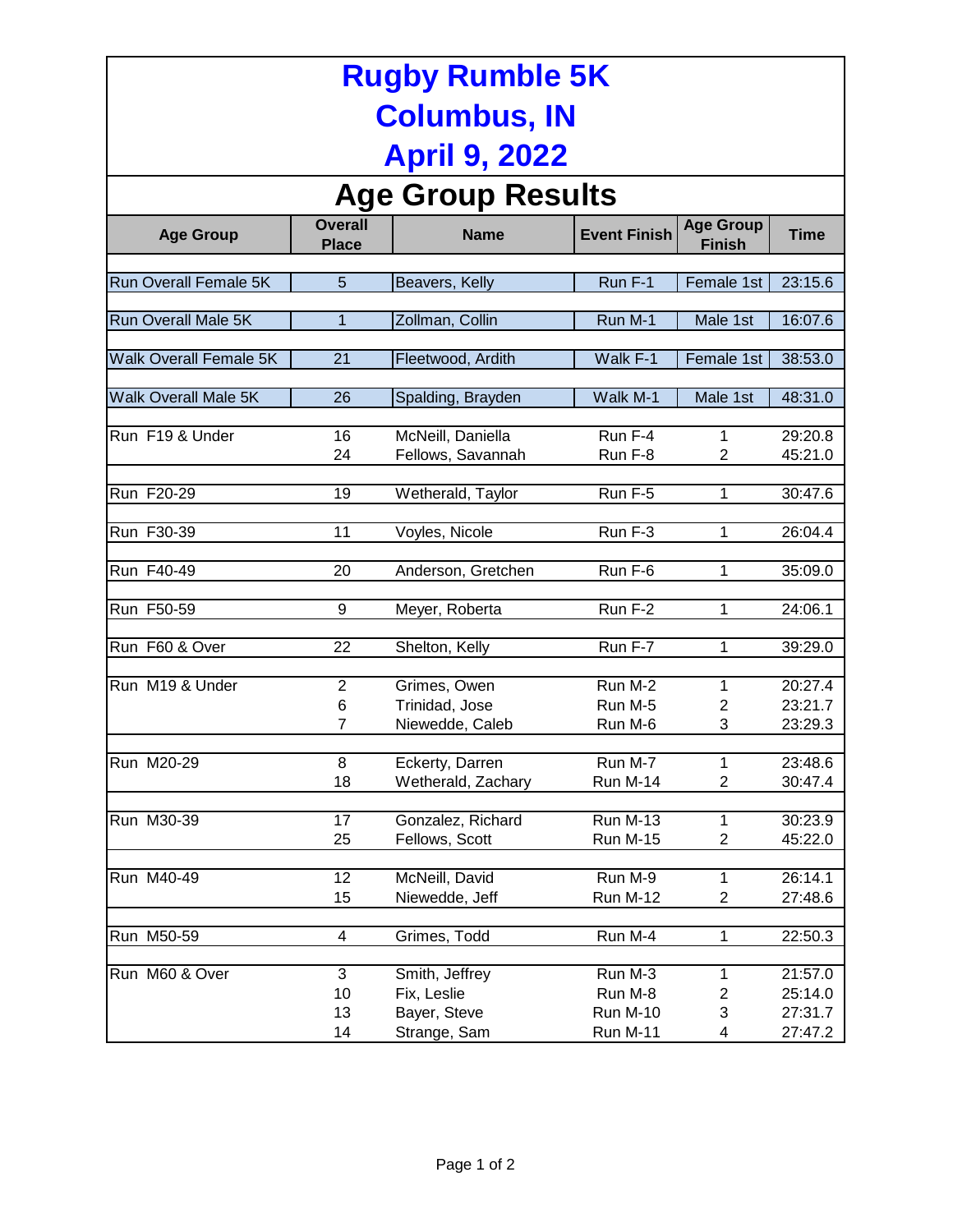| <b>Rugby Rumble 5K</b>                      |                                |                                                               |                                                          |                                   |                                          |  |  |  |  |  |
|---------------------------------------------|--------------------------------|---------------------------------------------------------------|----------------------------------------------------------|-----------------------------------|------------------------------------------|--|--|--|--|--|
| <b>Columbus, IN</b><br><b>April 9, 2022</b> |                                |                                                               |                                                          |                                   |                                          |  |  |  |  |  |
|                                             |                                |                                                               |                                                          |                                   |                                          |  |  |  |  |  |
| <b>Age Group</b>                            | <b>Overall</b><br><b>Place</b> | <b>Name</b>                                                   | <b>Event Finish</b>                                      | <b>Age Group</b><br><b>Finish</b> | <b>Time</b>                              |  |  |  |  |  |
| <b>Run Overall Female 5K</b>                | 5                              | Beavers, Kelly                                                | Run F-1                                                  | Female 1st                        | 23:15.6                                  |  |  |  |  |  |
| Run Overall Male 5K                         | $\mathbf{1}$                   | Zollman, Collin                                               | Run M-1                                                  | Male 1st                          | 16:07.6                                  |  |  |  |  |  |
| <b>Walk Overall Female 5K</b>               | 21                             | Fleetwood, Ardith                                             | Walk F-1                                                 | Female 1st                        | 38:53.0                                  |  |  |  |  |  |
| <b>Walk Overall Male 5K</b>                 | 26                             | Spalding, Brayden                                             | Walk M-1                                                 | Male 1st                          | 48:31.0                                  |  |  |  |  |  |
| Run F19 & Under                             | 16<br>24                       | McNeill, Daniella<br>Fellows, Savannah                        | Run F-4<br>Run F-8                                       | 1<br>$\overline{2}$               | 29:20.8<br>45:21.0                       |  |  |  |  |  |
| Run F20-29                                  | 19                             | Wetherald, Taylor                                             | Run F-5                                                  | 1                                 | 30:47.6                                  |  |  |  |  |  |
| Run F30-39                                  | 11                             | Voyles, Nicole                                                | Run F-3                                                  | 1                                 | 26:04.4                                  |  |  |  |  |  |
| Run F40-49                                  | 20                             | Anderson, Gretchen                                            | Run F-6                                                  | 1                                 | 35:09.0                                  |  |  |  |  |  |
| Run F50-59                                  | 9                              | Meyer, Roberta                                                | Run F-2                                                  | 1                                 | 24:06.1                                  |  |  |  |  |  |
| Run F60 & Over                              | 22                             | Shelton, Kelly                                                | Run F-7                                                  | 1                                 | 39:29.0                                  |  |  |  |  |  |
| Run M19 & Under                             | $\overline{2}$<br>6<br>7       | Grimes, Owen<br>Trinidad, Jose<br>Niewedde, Caleb             | Run M-2<br>Run M-5<br>Run M-6                            | 1<br>2<br>3                       | 20:27.4<br>23:21.7<br>23:29.3            |  |  |  |  |  |
| Run M20-29                                  | 8<br>18                        | Eckerty, Darren<br>Wetherald, Zachary                         | Run M-7<br>Run M-14                                      | 1<br>$\overline{2}$               | 23:48.6<br>30:47.4                       |  |  |  |  |  |
| Run M30-39                                  | 17<br>25                       | Gonzalez, Richard<br>Fellows, Scott                           | <b>Run M-13</b><br><b>Run M-15</b>                       | 1<br>$\overline{c}$               | 30:23.9<br>45:22.0                       |  |  |  |  |  |
| Run M40-49                                  | 12<br>15                       | McNeill, David<br>Niewedde, Jeff                              | Run M-9<br>Run M-12                                      | 1<br>2                            | 26:14.1<br>27:48.6                       |  |  |  |  |  |
| Run M50-59                                  | $\overline{\mathbf{4}}$        | Grimes, Todd                                                  | Run M-4                                                  | 1                                 | 22:50.3                                  |  |  |  |  |  |
| Run M60 & Over                              | 3<br>10<br>13<br>14            | Smith, Jeffrey<br>Fix, Leslie<br>Bayer, Steve<br>Strange, Sam | Run M-3<br>Run M-8<br><b>Run M-10</b><br><b>Run M-11</b> | 1<br>2<br>3<br>4                  | 21:57.0<br>25:14.0<br>27:31.7<br>27:47.2 |  |  |  |  |  |